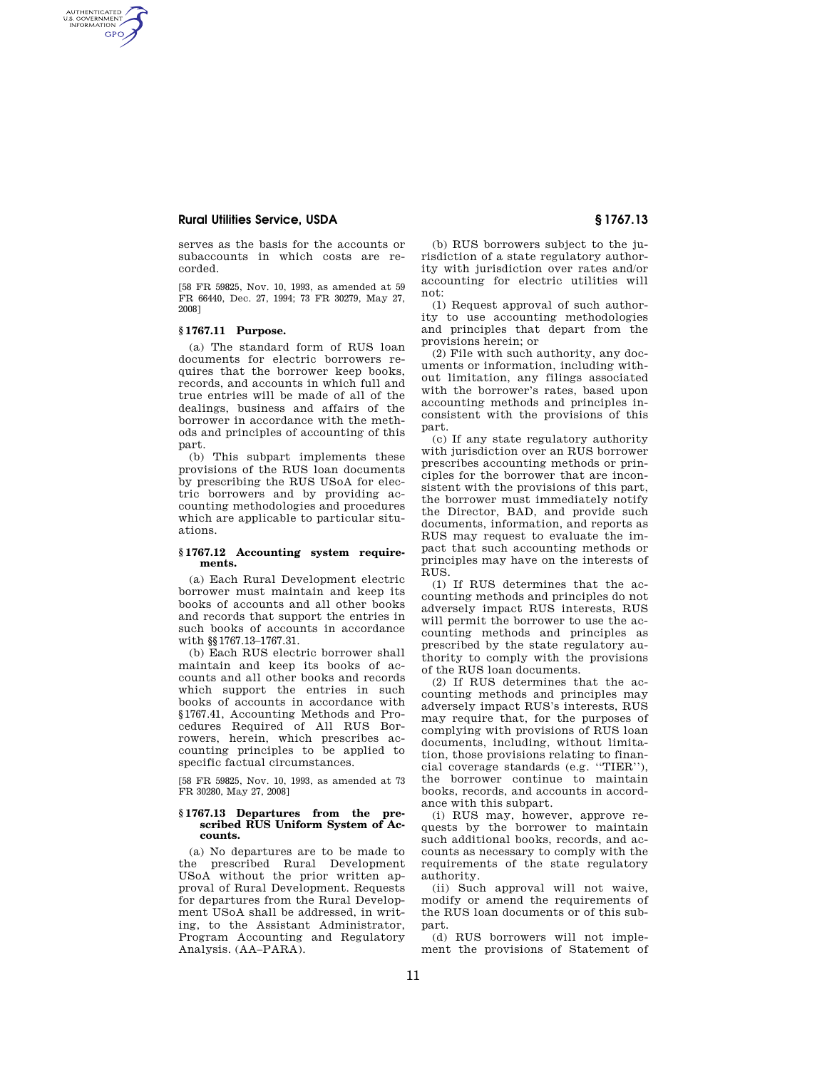# **Rural Utilities Service, USDA § 1767.13**

serves as the basis for the accounts or subaccounts in which costs are recorded.

[58 FR 59825, Nov. 10, 1993, as amended at 59 FR 66440, Dec. 27, 1994; 73 FR 30279, May 27, 2008]

### **§ 1767.11 Purpose.**

AUTHENTICATED<br>U.S. GOVERNMENT<br>INFORMATION **GPO** 

> (a) The standard form of RUS loan documents for electric borrowers requires that the borrower keep books, records, and accounts in which full and true entries will be made of all of the dealings, business and affairs of the borrower in accordance with the methods and principles of accounting of this part.

> (b) This subpart implements these provisions of the RUS loan documents by prescribing the RUS USoA for electric borrowers and by providing accounting methodologies and procedures which are applicable to particular situations.

### **§ 1767.12 Accounting system requirements.**

(a) Each Rural Development electric borrower must maintain and keep its books of accounts and all other books and records that support the entries in such books of accounts in accordance with §§1767.13–1767.31.

(b) Each RUS electric borrower shall maintain and keep its books of accounts and all other books and records which support the entries in such books of accounts in accordance with §1767.41, Accounting Methods and Procedures Required of All RUS Borrowers, herein, which prescribes accounting principles to be applied to specific factual circumstances.

[58 FR 59825, Nov. 10, 1993, as amended at 73 FR 30280, May 27, 2008]

## **§ 1767.13 Departures from the prescribed RUS Uniform System of Accounts.**

(a) No departures are to be made to the prescribed Rural Development USoA without the prior written approval of Rural Development. Requests for departures from the Rural Development USoA shall be addressed, in writing, to the Assistant Administrator, Program Accounting and Regulatory Analysis. (AA–PARA).

(b) RUS borrowers subject to the jurisdiction of a state regulatory authority with jurisdiction over rates and/or accounting for electric utilities will not:

(1) Request approval of such authority to use accounting methodologies and principles that depart from the provisions herein; or

(2) File with such authority, any documents or information, including without limitation, any filings associated with the borrower's rates, based upon accounting methods and principles inconsistent with the provisions of this part.

(c) If any state regulatory authority with jurisdiction over an RUS borrower prescribes accounting methods or principles for the borrower that are inconsistent with the provisions of this part, the borrower must immediately notify the Director, BAD, and provide such documents, information, and reports as RUS may request to evaluate the impact that such accounting methods or principles may have on the interests of RUS.

(1) If RUS determines that the accounting methods and principles do not adversely impact RUS interests, RUS will permit the borrower to use the accounting methods and principles as prescribed by the state regulatory authority to comply with the provisions of the RUS loan documents.

(2) If RUS determines that the accounting methods and principles may adversely impact RUS's interests, RUS may require that, for the purposes of complying with provisions of RUS loan documents, including, without limitation, those provisions relating to financial coverage standards (e.g. ''TIER''), the borrower continue to maintain books, records, and accounts in accordance with this subpart.

(i) RUS may, however, approve requests by the borrower to maintain such additional books, records, and accounts as necessary to comply with the requirements of the state regulatory authority.

(ii) Such approval will not waive, modify or amend the requirements of the RUS loan documents or of this subpart.

(d) RUS borrowers will not implement the provisions of Statement of